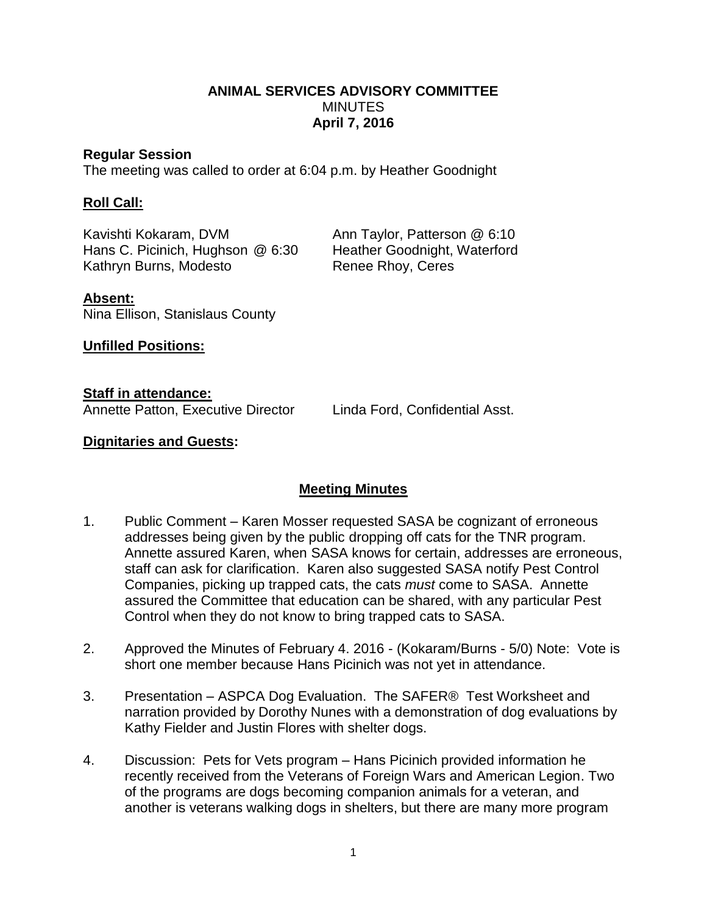## **ANIMAL SERVICES ADVISORY COMMITTEE MINUTES April 7, 2016**

#### **Regular Session**

The meeting was called to order at 6:04 p.m. by Heather Goodnight

#### **Roll Call:**

Kavishti Kokaram, DVM **Ann Taylor, Patterson @ 6:10**<br>Heather Goodnight, Waterford Hans C. Picinich, Hughson  $@6:30$ Kathryn Burns, Modesto Renee Rhoy, Ceres

**Absent:** Nina Ellison, Stanislaus County

**Unfilled Positions:**

**Staff in attendance:**

Annette Patton, Executive Director Linda Ford, Confidential Asst.

## **Dignitaries and Guests:**

# **Meeting Minutes**

- 1. Public Comment Karen Mosser requested SASA be cognizant of erroneous addresses being given by the public dropping off cats for the TNR program. Annette assured Karen, when SASA knows for certain, addresses are erroneous, staff can ask for clarification. Karen also suggested SASA notify Pest Control Companies, picking up trapped cats, the cats *must* come to SASA. Annette assured the Committee that education can be shared, with any particular Pest Control when they do not know to bring trapped cats to SASA.
- 2. Approved the Minutes of February 4. 2016 (Kokaram/Burns 5/0) Note: Vote is short one member because Hans Picinich was not yet in attendance.
- 3. Presentation ASPCA Dog Evaluation. The SAFER® Test Worksheet and narration provided by Dorothy Nunes with a demonstration of dog evaluations by Kathy Fielder and Justin Flores with shelter dogs.
- 4. Discussion: Pets for Vets program Hans Picinich provided information he recently received from the Veterans of Foreign Wars and American Legion. Two of the programs are dogs becoming companion animals for a veteran, and another is veterans walking dogs in shelters, but there are many more program